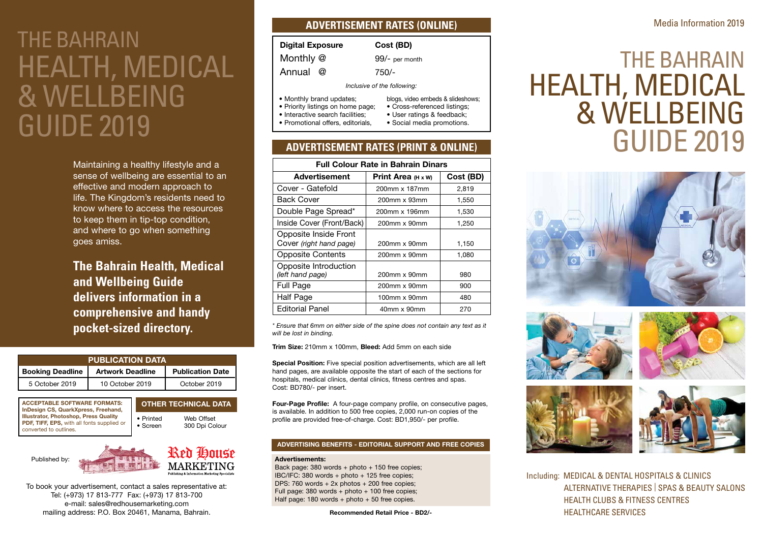# THE BAHRAIN HEALTH, MEDICAL & WELLBEING GUIDE 2019

Maintaining a healthy lifestyle and a sense of wellbeing are essential to an effective and modern approach to life. The Kingdom's residents need to know where to access the resources to keep them in tip-top condition, and where to go when something goes amiss.

**The Bahrain Health, Medical and Wellbeing Guide delivers information in a comprehensive and handy pocket-sized directory.**

| <b>PUBLICATION DATA</b> |                         |                         |  |
|-------------------------|-------------------------|-------------------------|--|
| <b>Booking Deadline</b> | <b>Artwork Deadline</b> | <b>Publication Date</b> |  |
| 5 October 2019          | 10 October 2019         | October 2019            |  |

ACCEPTABLE SOFTWARE FORMATS: InDesign CS, QuarkXpress, Freehand, Illustrator, Photoshop, Press Quality PDF, TIFF, EPS, with all fonts supplied or converted to outlines.





To book your advertisement, contact a sales representative at: Tel: (+973) 17 813-777 Fax: (+973) 17 813-700 e-mail: sales@redhousemarketing.com mailing address: P.O. Box 20461, Manama, Bahrain.

#### **ADVERTISEMENT RATES (ONLINE)**

| <b>Digital Exposure</b> | Cost (BD)      |
|-------------------------|----------------|
| Monthly @               | 99/- per month |
| Annual @                | 750/-          |
|                         |                |

*Inclusive of the following:*

- Monthly brand updates;
- Priority listings on home page;
- Interactive search facilities;
- Promotional offers, editorials,
- User ratings & feedback; • Social media promotions.

blogs, video embeds & slideshows; • Cross-referenced listings;

### **ADVERTISEMENT RATES (PRINT & ONLINE)**

| <b>Full Colour Rate in Bahrain Dinars</b> |                           |           |  |  |
|-------------------------------------------|---------------------------|-----------|--|--|
| Advertisement                             | Print Area $(H \times W)$ | Cost (BD) |  |  |
| Cover - Gatefold                          | 200mm x 187mm             | 2,819     |  |  |
| <b>Back Cover</b>                         | 200mm x 93mm              | 1,550     |  |  |
| Double Page Spread*                       | 200mm x 196mm             | 1,530     |  |  |
| Inside Cover (Front/Back)                 | 200mm x 90mm              | 1,250     |  |  |
| Opposite Inside Front                     |                           |           |  |  |
| Cover (right hand page)                   | 200mm x 90mm              | 1,150     |  |  |
| <b>Opposite Contents</b>                  | 200mm x 90mm              | 1,080     |  |  |
| Opposite Introduction<br>(left hand page) | 200mm x 90mm              | 980       |  |  |
| Full Page                                 | 200mm x 90mm              | 900       |  |  |
| Half Page                                 | 100mm x 90mm              | 480       |  |  |
| <b>Editorial Panel</b>                    | 40mm x 90mm               | 270       |  |  |

*\* Ensure that 6mm on either side of the spine does not contain any text as it will be lost in binding.*

Trim Size: 210mm x 100mm, Bleed: Add 5mm on each side

Special Position: Five special position advertisements, which are all left hand pages, are available opposite the start of each of the sections for hospitals, medical clinics, dental clinics, fitness centres and spas. Cost: BD780/- per insert.

Four-Page Profile: A four-page company profile, on consecutive pages, is available. In addition to 500 free copies, 2,000 run-on copies of the profile are provided free-of-charge. Cost: BD1,950/- per profile.

#### ADVERTISING BENEFITS - EDITORIAL SUPPORT AND FREE COPIES

#### Advertisements:

Back page: 380 words + photo + 150 free copies; IBC/IFC: 380 words + photo + 125 free copies; DPS: 760 words + 2x photos + 200 free copies; Full page: 380 words + photo + 100 free copies; Half page: 180 words + photo + 50 free copies.

Recommended Retail Price - BD2/-

## THE BAHRAIN HEALTH, MEDICAL & WELLBEING GUIDE 2019









Including: MEDICAL & DENTAL HOSPITALS & CLINICS ALTERNATIVE THERAPIES | SPAS & BEAUTY SALONS HEALTH CLUBS & FITNESS CENTRES HEALTHCARE SERVICES